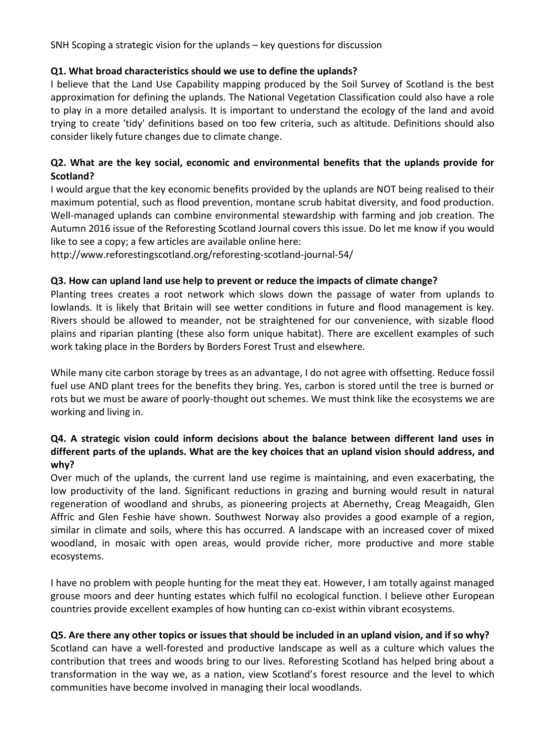SNH Scoping a strategic vision for the uplands – key questions for discussion

## **Q1. What broad characteristics should we use to define the uplands?**

I believe that the Land Use Capability mapping produced by the Soil Survey of Scotland is the best approximation for defining the uplands. The National Vegetation Classification could also have a role to play in a more detailed analysis. It is important to understand the ecology of the land and avoid trying to create 'tidy' definitions based on too few criteria, such as altitude. Definitions should also consider likely future changes due to climate change.

# **Q2. What are the key social, economic and environmental benefits that the uplands provide for Scotland?**

I would argue that the key economic benefits provided by the uplands are NOT being realised to their maximum potential, such as flood prevention, montane scrub habitat diversity, and food production. Well-managed uplands can combine environmental stewardship with farming and job creation. The Autumn 2016 issue of the Reforesting Scotland Journal covers this issue. Do let me know if you would like to see a copy; a few articles are available online here:

http://www.reforestingscotland.org/reforesting-scotland-journal-54/

### **Q3. How can upland land use help to prevent or reduce the impacts of climate change?**

Planting trees creates a root network which slows down the passage of water from uplands to lowlands. It is likely that Britain will see wetter conditions in future and flood management is key. Rivers should be allowed to meander, not be straightened for our convenience, with sizable flood plains and riparian planting (these also form unique habitat). There are excellent examples of such work taking place in the Borders by Borders Forest Trust and elsewhere.

While many cite carbon storage by trees as an advantage, I do not agree with offsetting. Reduce fossil fuel use AND plant trees for the benefits they bring. Yes, carbon is stored until the tree is burned or rots but we must be aware of poorly-thought out schemes. We must think like the ecosystems we are working and living in.

# **Q4. A strategic vision could inform decisions about the balance between different land uses in different parts of the uplands. What are the key choices that an upland vision should address, and why?**

Over much of the uplands, the current land use regime is maintaining, and even exacerbating, the low productivity of the land. Significant reductions in grazing and burning would result in natural regeneration of woodland and shrubs, as pioneering projects at Abernethy, Creag Meagaidh, Glen Affric and Glen Feshie have shown. Southwest Norway also provides a good example of a region, similar in climate and soils, where this has occurred. A landscape with an increased cover of mixed woodland, in mosaic with open areas, would provide richer, more productive and more stable ecosystems.

I have no problem with people hunting for the meat they eat. However, I am totally against managed grouse moors and deer hunting estates which fulfil no ecological function. I believe other European countries provide excellent examples of how hunting can co-exist within vibrant ecosystems.

### **Q5. Are there any other topics or issues that should be included in an upland vision, and if so why?**

Scotland can have a well-forested and productive landscape as well as a culture which values the contribution that trees and woods bring to our lives. Reforesting Scotland has helped bring about a transformation in the way we, as a nation, view Scotland's forest resource and the level to which communities have become involved in managing their local woodlands.